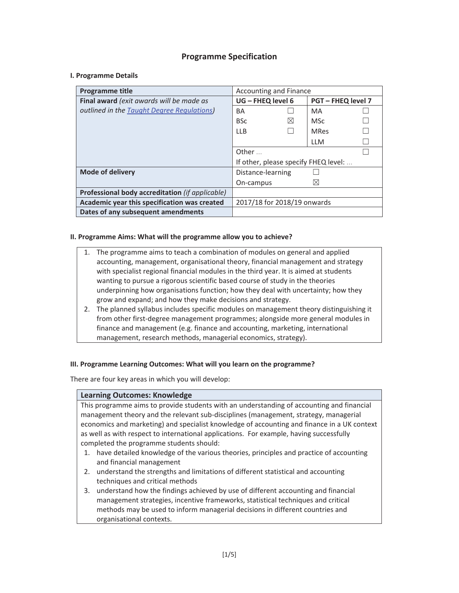## **Programme Specification**

### **I. Programme Details**

| <b>Programme title</b>                          | Accounting and Finance               |             |                           |  |
|-------------------------------------------------|--------------------------------------|-------------|---------------------------|--|
| Final award (exit awards will be made as        | UG - FHEQ level 6                    |             | <b>PGT – FHEQ level 7</b> |  |
| outlined in the Taught Degree Regulations)      | BA                                   |             | MA                        |  |
|                                                 | <b>BSc</b>                           | $\boxtimes$ | <b>MSc</b>                |  |
|                                                 | II B                                 |             | <b>MRes</b>               |  |
|                                                 |                                      |             | <b>LLM</b>                |  |
|                                                 | Other $\ldots$                       |             |                           |  |
|                                                 | If other, please specify FHEQ level: |             |                           |  |
| <b>Mode of delivery</b>                         | Distance-learning                    |             |                           |  |
|                                                 | On-campus                            |             | $\boxtimes$               |  |
| Professional body accreditation (if applicable) |                                      |             |                           |  |
| Academic year this specification was created    | 2017/18 for 2018/19 onwards          |             |                           |  |
| Dates of any subsequent amendments              |                                      |             |                           |  |

### **II. Programme Aims: What will the programme allow you to achieve?**

- 1. The programme aims to teach a combination of modules on general and applied accounting, management, organisational theory, financial management and strategy with specialist regional financial modules in the third year. It is aimed at students wanting to pursue a rigorous scientific based course of study in the theories underpinning how organisations function; how they deal with uncertainty; how they grow and expand; and how they make decisions and strategy.
- 2. The planned syllabus includes specific modules on management theory distinguishing it from other first-degree management programmes; alongside more general modules in finance and management (e.g. finance and accounting, marketing, international management, research methods, managerial economics, strategy).

#### **III. Programme Learning Outcomes: What will you learn on the programme?**

There are four key areas in which you will develop:

#### **Learning Outcomes: Knowledge**

This programme aims to provide students with an understanding of accounting and financial management theory and the relevant sub-disciplines (management, strategy, managerial economics and marketing) and specialist knowledge of accounting and finance in a UK context as well as with respect to international applications. For example, having successfully completed the programme students should:

- 1. have detailed knowledge of the various theories, principles and practice of accounting and financial management
- 2. understand the strengths and limitations of different statistical and accounting techniques and critical methods
- 3. understand how the findings achieved by use of different accounting and financial management strategies, incentive frameworks, statistical techniques and critical methods may be used to inform managerial decisions in different countries and organisational contexts.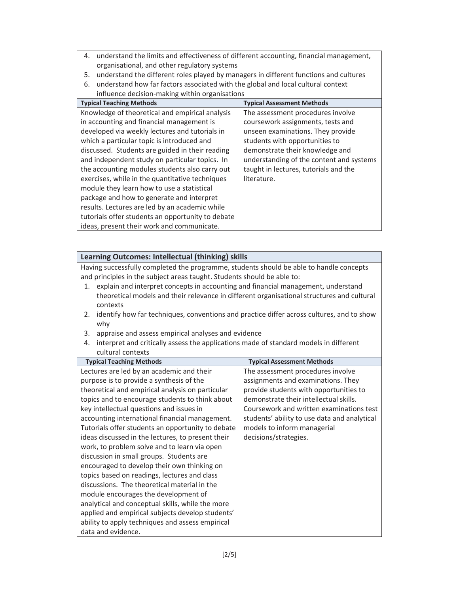- 4. understand the limits and effectiveness of different accounting, financial management, organisational, and other regulatory systems
- 5. understand the different roles played by managers in different functions and cultures
- 6. understand how far factors associated with the global and local cultural context influence decision-making within organisations

| <b>INTIGURE ACCISION MARINE WILLIAM OF SUMBALIONS</b><br><b>Typical Teaching Methods</b>                                                                                                                                                                                                                                                            | <b>Typical Assessment Methods</b>                                                                                                                                                                                                                                     |
|-----------------------------------------------------------------------------------------------------------------------------------------------------------------------------------------------------------------------------------------------------------------------------------------------------------------------------------------------------|-----------------------------------------------------------------------------------------------------------------------------------------------------------------------------------------------------------------------------------------------------------------------|
| Knowledge of theoretical and empirical analysis<br>in accounting and financial management is<br>developed via weekly lectures and tutorials in<br>which a particular topic is introduced and<br>discussed. Students are guided in their reading<br>and independent study on particular topics. In<br>the accounting modules students also carry out | The assessment procedures involve<br>coursework assignments, tests and<br>unseen examinations. They provide<br>students with opportunities to<br>demonstrate their knowledge and<br>understanding of the content and systems<br>taught in lectures, tutorials and the |
| exercises, while in the quantitative techniques<br>module they learn how to use a statistical<br>package and how to generate and interpret<br>results. Lectures are led by an academic while<br>tutorials offer students an opportunity to debate<br>ideas, present their work and communicate.                                                     | literature.                                                                                                                                                                                                                                                           |

## **Learning Outcomes: Intellectual (thinking) skills**

Having successfully completed the programme, students should be able to handle concepts and principles in the subject areas taught. Students should be able to:

- 1. explain and interpret concepts in accounting and financial management, understand theoretical models and their relevance in different organisational structures and cultural contexts
- 2. identify how far techniques, conventions and practice differ across cultures, and to show why
- 3. appraise and assess empirical analyses and evidence
- 4. interpret and critically assess the applications made of standard models in different cultural contexts

| <b>Typical Teaching Methods</b>                   | <b>Typical Assessment Methods</b>            |
|---------------------------------------------------|----------------------------------------------|
| Lectures are led by an academic and their         | The assessment procedures involve            |
| purpose is to provide a synthesis of the          | assignments and examinations. They           |
| theoretical and empirical analysis on particular  | provide students with opportunities to       |
| topics and to encourage students to think about   | demonstrate their intellectual skills.       |
| key intellectual questions and issues in          | Coursework and written examinations test     |
| accounting international financial management.    | students' ability to use data and analytical |
| Tutorials offer students an opportunity to debate | models to inform managerial                  |
| ideas discussed in the lectures, to present their | decisions/strategies.                        |
| work, to problem solve and to learn via open      |                                              |
| discussion in small groups. Students are          |                                              |
| encouraged to develop their own thinking on       |                                              |
| topics based on readings, lectures and class      |                                              |
| discussions. The theoretical material in the      |                                              |
| module encourages the development of              |                                              |
| analytical and conceptual skills, while the more  |                                              |
| applied and empirical subjects develop students'  |                                              |
| ability to apply techniques and assess empirical  |                                              |
| data and evidence.                                |                                              |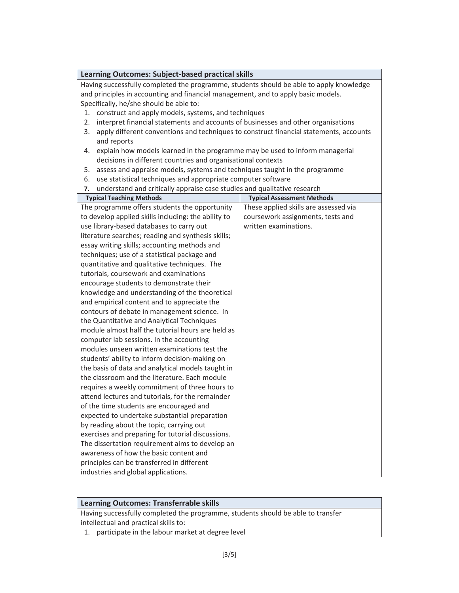| <b>Learning Outcomes: Subject-based practical skills</b>                                     |                                                |  |  |  |
|----------------------------------------------------------------------------------------------|------------------------------------------------|--|--|--|
| Having successfully completed the programme, students should be able to apply knowledge      |                                                |  |  |  |
| and principles in accounting and financial management, and to apply basic models.            |                                                |  |  |  |
| Specifically, he/she should be able to:                                                      |                                                |  |  |  |
| construct and apply models, systems, and techniques<br>1.                                    |                                                |  |  |  |
| interpret financial statements and accounts of businesses and other organisations<br>2.      |                                                |  |  |  |
| 3.<br>apply different conventions and techniques to construct financial statements, accounts |                                                |  |  |  |
| and reports                                                                                  |                                                |  |  |  |
| explain how models learned in the programme may be used to inform managerial<br>4.           |                                                |  |  |  |
| decisions in different countries and organisational contexts                                 |                                                |  |  |  |
| assess and appraise models, systems and techniques taught in the programme<br>5.             |                                                |  |  |  |
| use statistical techniques and appropriate computer software<br>6.                           |                                                |  |  |  |
| understand and critically appraise case studies and qualitative research<br>7.               |                                                |  |  |  |
| <b>Typical Teaching Methods</b>                                                              | <b>Typical Assessment Methods</b>              |  |  |  |
| The programme offers students the opportunity                                                | These applied skills are assessed via          |  |  |  |
| to develop applied skills including: the ability to                                          | coursework assignments, tests and              |  |  |  |
| use library-based databases to carry out                                                     | written examinations.                          |  |  |  |
| literature searches; reading and synthesis skills;                                           |                                                |  |  |  |
| essay writing skills; accounting methods and                                                 |                                                |  |  |  |
| techniques; use of a statistical package and                                                 |                                                |  |  |  |
| quantitative and qualitative techniques. The                                                 |                                                |  |  |  |
| tutorials, coursework and examinations                                                       |                                                |  |  |  |
| encourage students to demonstrate their                                                      |                                                |  |  |  |
|                                                                                              | knowledge and understanding of the theoretical |  |  |  |
|                                                                                              | and empirical content and to appreciate the    |  |  |  |
| contours of debate in management science. In                                                 |                                                |  |  |  |
|                                                                                              | the Quantitative and Analytical Techniques     |  |  |  |
| module almost half the tutorial hours are held as                                            |                                                |  |  |  |
| computer lab sessions. In the accounting                                                     |                                                |  |  |  |
| modules unseen written examinations test the                                                 |                                                |  |  |  |
| students' ability to inform decision-making on                                               |                                                |  |  |  |
| the basis of data and analytical models taught in                                            |                                                |  |  |  |
| the classroom and the literature. Each module                                                |                                                |  |  |  |
| requires a weekly commitment of three hours to                                               |                                                |  |  |  |
| attend lectures and tutorials, for the remainder                                             |                                                |  |  |  |
| of the time students are encouraged and                                                      |                                                |  |  |  |
| expected to undertake substantial preparation                                                |                                                |  |  |  |
| by reading about the topic, carrying out                                                     |                                                |  |  |  |
| exercises and preparing for tutorial discussions.                                            |                                                |  |  |  |
| The dissertation requirement aims to develop an                                              |                                                |  |  |  |
| awareness of how the basic content and                                                       |                                                |  |  |  |
| principles can be transferred in different                                                   |                                                |  |  |  |
| industries and global applications.                                                          |                                                |  |  |  |

# **Learning Outcomes: Transferrable skills**

Having successfully completed the programme, students should be able to transfer intellectual and practical skills to:

1. participate in the labour market at degree level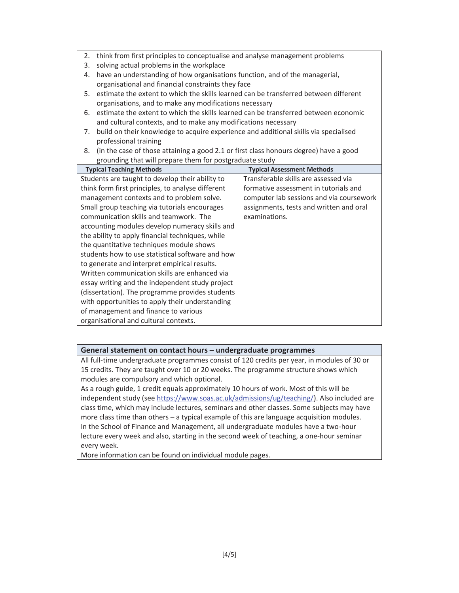- 2. think from first principles to conceptualise and analyse management problems
- 3. solving actual problems in the workplace
- 4. have an understanding of how organisations function, and of the managerial, organisational and financial constraints they face
- 5. estimate the extent to which the skills learned can be transferred between different organisations, and to make any modifications necessary
- 6. estimate the extent to which the skills learned can be transferred between economic and cultural contexts, and to make any modifications necessary
- 7. build on their knowledge to acquire experience and additional skills via specialised professional training
- 8. (in the case of those attaining a good 2.1 or first class honours degree) have a good grounding that will prepare them for postgraduate study

| <b>Typical Teaching Methods</b>                   | <b>Typical Assessment Methods</b>        |
|---------------------------------------------------|------------------------------------------|
| Students are taught to develop their ability to   | Transferable skills are assessed via     |
| think form first principles, to analyse different | formative assessment in tutorials and    |
| management contexts and to problem solve.         | computer lab sessions and via coursework |
| Small group teaching via tutorials encourages     | assignments, tests and written and oral  |
| communication skills and teamwork. The            | examinations.                            |
| accounting modules develop numeracy skills and    |                                          |
| the ability to apply financial techniques, while  |                                          |
| the quantitative techniques module shows          |                                          |
| students how to use statistical software and how  |                                          |
| to generate and interpret empirical results.      |                                          |
| Written communication skills are enhanced via     |                                          |
| essay writing and the independent study project   |                                          |
| (dissertation). The programme provides students   |                                          |
| with opportunities to apply their understanding   |                                          |
| of management and finance to various              |                                          |
| organisational and cultural contexts.             |                                          |

## **General statement on contact hours – undergraduate programmes**

All full-time undergraduate programmes consist of 120 credits per year, in modules of 30 or 15 credits. They are taught over 10 or 20 weeks. The programme structure shows which modules are compulsory and which optional.

As a rough guide, 1 credit equals approximately 10 hours of work. Most of this will be independent study (see https://www.soas.ac.uk/admissions/ug/teaching/). Also included are class time, which may include lectures, seminars and other classes. Some subjects may have more class time than others – a typical example of this are language acquisition modules. In the School of Finance and Management, all undergraduate modules have a two-hour lecture every week and also, starting in the second week of teaching, a one-hour seminar every week.

More information can be found on individual module pages.